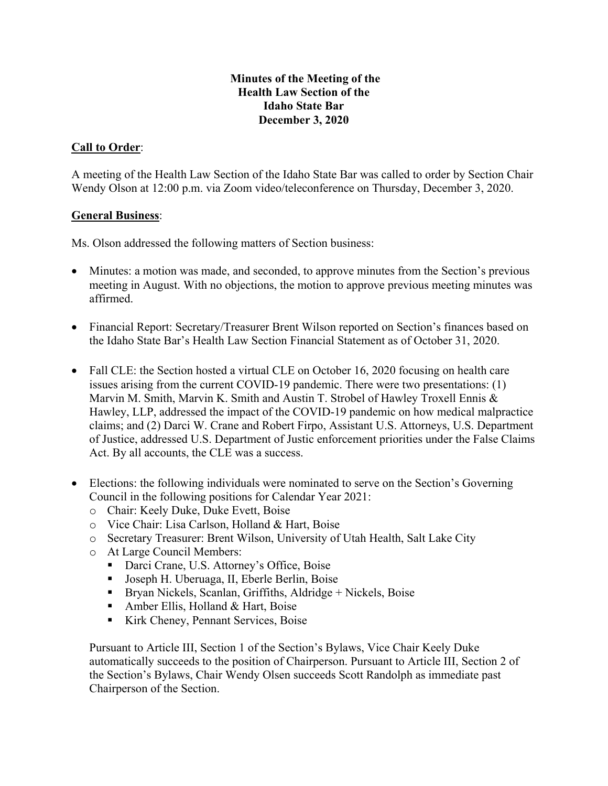#### **Minutes of the Meeting of the Health Law Section of the Idaho State Bar December 3, 2020**

### **Call to Order**:

A meeting of the Health Law Section of the Idaho State Bar was called to order by Section Chair Wendy Olson at 12:00 p.m. via Zoom video/teleconference on Thursday, December 3, 2020.

#### **General Business**:

Ms. Olson addressed the following matters of Section business:

- Minutes: a motion was made, and seconded, to approve minutes from the Section's previous meeting in August. With no objections, the motion to approve previous meeting minutes was affirmed.
- Financial Report: Secretary/Treasurer Brent Wilson reported on Section's finances based on the Idaho State Bar's Health Law Section Financial Statement as of October 31, 2020.
- Fall CLE: the Section hosted a virtual CLE on October 16, 2020 focusing on health care issues arising from the current COVID-19 pandemic. There were two presentations: (1) Marvin M. Smith, Marvin K. Smith and Austin T. Strobel of Hawley Troxell Ennis & Hawley, LLP, addressed the impact of the COVID-19 pandemic on how medical malpractice claims; and (2) Darci W. Crane and Robert Firpo, Assistant U.S. Attorneys, U.S. Department of Justice, addressed U.S. Department of Justic enforcement priorities under the False Claims Act. By all accounts, the CLE was a success.
- Elections: the following individuals were nominated to serve on the Section's Governing Council in the following positions for Calendar Year 2021:
	- o Chair: Keely Duke, Duke Evett, Boise
	- o Vice Chair: Lisa Carlson, Holland & Hart, Boise
	- o Secretary Treasurer: Brent Wilson, University of Utah Health, Salt Lake City
	- o At Large Council Members:
		- Darci Crane, U.S. Attorney's Office, Boise
		- Joseph H. Uberuaga, II, Eberle Berlin, Boise
		- **Bryan Nickels, Scanlan, Griffiths, Aldridge + Nickels, Boise**
		- Amber Ellis, Holland & Hart, Boise
		- Kirk Cheney, Pennant Services, Boise

Pursuant to Article III, Section 1 of the Section's Bylaws, Vice Chair Keely Duke automatically succeeds to the position of Chairperson. Pursuant to Article III, Section 2 of the Section's Bylaws, Chair Wendy Olsen succeeds Scott Randolph as immediate past Chairperson of the Section.